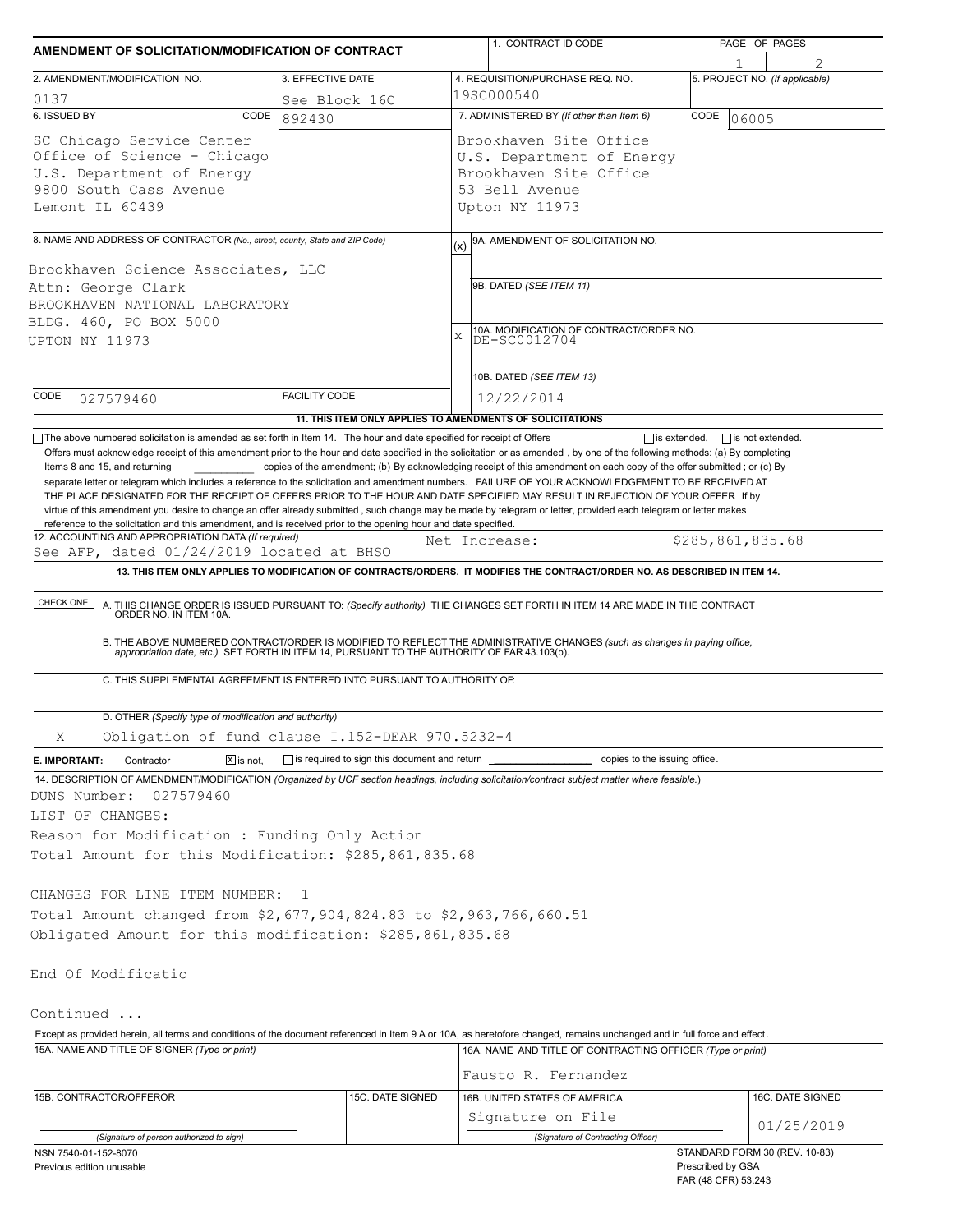| 2. AMENDMENT/MODIFICATION NO.<br>3. EFFECTIVE DATE<br>0137<br>See Block 16C<br>6. ISSUED BY<br>CODE<br>892430<br>SC Chicago Service Center<br>Office of Science - Chicago<br>U.S. Department of Energy<br>9800 South Cass Avenue<br>Lemont IL 60439<br>8. NAME AND ADDRESS OF CONTRACTOR (No., street, county, State and ZIP Code)<br>Brookhaven Science Associates, LLC<br>Attn: George Clark<br>BROOKHAVEN NATIONAL LABORATORY<br>BLDG. 460, PO BOX 5000<br>UPTON NY 11973<br>CODE<br><b>FACILITY CODE</b><br>027579460<br>11. THIS ITEM ONLY APPLIES TO AMENDMENTS OF SOLICITATIONS<br>The above numbered solicitation is amended as set forth in Item 14. The hour and date specified for receipt of Offers<br>Offers must acknowledge receipt of this amendment prior to the hour and date specified in the solicitation or as amended, by one of the following methods: (a) By completing<br>Items 8 and 15, and returning<br>separate letter or telegram which includes a reference to the solicitation and amendment numbers. FAILURE OF YOUR ACKNOWLEDGEMENT TO BE RECEIVED AT<br>THE PLACE DESIGNATED FOR THE RECEIPT OF OFFERS PRIOR TO THE HOUR AND DATE SPECIFIED MAY RESULT IN REJECTION OF YOUR OFFER If by<br>virtue of this amendment you desire to change an offer already submitted, such change may be made by telegram or letter, provided each telegram or letter makes<br>reference to the solicitation and this amendment, and is received prior to the opening hour and date specified.<br>12. ACCOUNTING AND APPROPRIATION DATA (If required)<br>See AFP, dated 01/24/2019 located at BHSO<br>13. THIS ITEM ONLY APPLIES TO MODIFICATION OF CONTRACTS/ORDERS. IT MODIFIES THE CONTRACT/ORDER NO. AS DESCRIBED IN ITEM 14.<br>CHECK ONE<br>A. THIS CHANGE ORDER IS ISSUED PURSUANT TO: (Specify authority) THE CHANGES SET FORTH IN ITEM 14 ARE MADE IN THE CONTRACT ORDER NO. IN ITEM 10A.<br>B. THE ABOVE NUMBERED CONTRACT/ORDER IS MODIFIED TO REFLECT THE ADMINISTRATIVE CHANGES (such as changes in paying office,<br>appropriation date, etc.) SET FORTH IN ITEM 14, PURSUANT TO THE AUTHORITY OF FAR 43.103(b).<br>C. THIS SUPPLEMENTAL AGREEMENT IS ENTERED INTO PURSUANT TO AUTHORITY OF:<br>D. OTHER (Specify type of modification and authority) | (x)<br>$\bar{x}$ | 4. REQUISITION/PURCHASE REQ. NO.<br>19SC000540<br>7. ADMINISTERED BY (If other than Item 6)<br>Brookhaven Site Office<br>U.S. Department of Energy<br>Brookhaven Site Office<br>53 Bell Avenue<br>Upton NY 11973<br>9A. AMENDMENT OF SOLICITATION NO.<br>9B. DATED (SEE ITEM 11)<br>10A. MODIFICATION OF CONTRACT/ORDER NO.<br>DE-SC0012704<br>10B. DATED (SEE ITEM 13)<br>12/22/2014<br>copies of the amendment; (b) By acknowledging receipt of this amendment on each copy of the offer submitted; or (c) By<br>Net Increase: | 5. PROJECT NO. (If applicable)<br>CODE<br>06005<br>$\Box$ is extended. $\Box$ is not extended.<br>\$285,861,835.68 |
|---------------------------------------------------------------------------------------------------------------------------------------------------------------------------------------------------------------------------------------------------------------------------------------------------------------------------------------------------------------------------------------------------------------------------------------------------------------------------------------------------------------------------------------------------------------------------------------------------------------------------------------------------------------------------------------------------------------------------------------------------------------------------------------------------------------------------------------------------------------------------------------------------------------------------------------------------------------------------------------------------------------------------------------------------------------------------------------------------------------------------------------------------------------------------------------------------------------------------------------------------------------------------------------------------------------------------------------------------------------------------------------------------------------------------------------------------------------------------------------------------------------------------------------------------------------------------------------------------------------------------------------------------------------------------------------------------------------------------------------------------------------------------------------------------------------------------------------------------------------------------------------------------------------------------------------------------------------------------------------------------------------------------------------------------------------------------------------------------------------------------------------------------------------------------------------------------------------------------------------------------------------------------------------|------------------|----------------------------------------------------------------------------------------------------------------------------------------------------------------------------------------------------------------------------------------------------------------------------------------------------------------------------------------------------------------------------------------------------------------------------------------------------------------------------------------------------------------------------------|--------------------------------------------------------------------------------------------------------------------|
|                                                                                                                                                                                                                                                                                                                                                                                                                                                                                                                                                                                                                                                                                                                                                                                                                                                                                                                                                                                                                                                                                                                                                                                                                                                                                                                                                                                                                                                                                                                                                                                                                                                                                                                                                                                                                                                                                                                                                                                                                                                                                                                                                                                                                                                                                       |                  |                                                                                                                                                                                                                                                                                                                                                                                                                                                                                                                                  |                                                                                                                    |
|                                                                                                                                                                                                                                                                                                                                                                                                                                                                                                                                                                                                                                                                                                                                                                                                                                                                                                                                                                                                                                                                                                                                                                                                                                                                                                                                                                                                                                                                                                                                                                                                                                                                                                                                                                                                                                                                                                                                                                                                                                                                                                                                                                                                                                                                                       |                  |                                                                                                                                                                                                                                                                                                                                                                                                                                                                                                                                  |                                                                                                                    |
|                                                                                                                                                                                                                                                                                                                                                                                                                                                                                                                                                                                                                                                                                                                                                                                                                                                                                                                                                                                                                                                                                                                                                                                                                                                                                                                                                                                                                                                                                                                                                                                                                                                                                                                                                                                                                                                                                                                                                                                                                                                                                                                                                                                                                                                                                       |                  |                                                                                                                                                                                                                                                                                                                                                                                                                                                                                                                                  |                                                                                                                    |
|                                                                                                                                                                                                                                                                                                                                                                                                                                                                                                                                                                                                                                                                                                                                                                                                                                                                                                                                                                                                                                                                                                                                                                                                                                                                                                                                                                                                                                                                                                                                                                                                                                                                                                                                                                                                                                                                                                                                                                                                                                                                                                                                                                                                                                                                                       |                  |                                                                                                                                                                                                                                                                                                                                                                                                                                                                                                                                  |                                                                                                                    |
|                                                                                                                                                                                                                                                                                                                                                                                                                                                                                                                                                                                                                                                                                                                                                                                                                                                                                                                                                                                                                                                                                                                                                                                                                                                                                                                                                                                                                                                                                                                                                                                                                                                                                                                                                                                                                                                                                                                                                                                                                                                                                                                                                                                                                                                                                       |                  |                                                                                                                                                                                                                                                                                                                                                                                                                                                                                                                                  |                                                                                                                    |
|                                                                                                                                                                                                                                                                                                                                                                                                                                                                                                                                                                                                                                                                                                                                                                                                                                                                                                                                                                                                                                                                                                                                                                                                                                                                                                                                                                                                                                                                                                                                                                                                                                                                                                                                                                                                                                                                                                                                                                                                                                                                                                                                                                                                                                                                                       |                  |                                                                                                                                                                                                                                                                                                                                                                                                                                                                                                                                  |                                                                                                                    |
|                                                                                                                                                                                                                                                                                                                                                                                                                                                                                                                                                                                                                                                                                                                                                                                                                                                                                                                                                                                                                                                                                                                                                                                                                                                                                                                                                                                                                                                                                                                                                                                                                                                                                                                                                                                                                                                                                                                                                                                                                                                                                                                                                                                                                                                                                       |                  |                                                                                                                                                                                                                                                                                                                                                                                                                                                                                                                                  |                                                                                                                    |
|                                                                                                                                                                                                                                                                                                                                                                                                                                                                                                                                                                                                                                                                                                                                                                                                                                                                                                                                                                                                                                                                                                                                                                                                                                                                                                                                                                                                                                                                                                                                                                                                                                                                                                                                                                                                                                                                                                                                                                                                                                                                                                                                                                                                                                                                                       |                  |                                                                                                                                                                                                                                                                                                                                                                                                                                                                                                                                  |                                                                                                                    |
|                                                                                                                                                                                                                                                                                                                                                                                                                                                                                                                                                                                                                                                                                                                                                                                                                                                                                                                                                                                                                                                                                                                                                                                                                                                                                                                                                                                                                                                                                                                                                                                                                                                                                                                                                                                                                                                                                                                                                                                                                                                                                                                                                                                                                                                                                       |                  |                                                                                                                                                                                                                                                                                                                                                                                                                                                                                                                                  |                                                                                                                    |
|                                                                                                                                                                                                                                                                                                                                                                                                                                                                                                                                                                                                                                                                                                                                                                                                                                                                                                                                                                                                                                                                                                                                                                                                                                                                                                                                                                                                                                                                                                                                                                                                                                                                                                                                                                                                                                                                                                                                                                                                                                                                                                                                                                                                                                                                                       |                  |                                                                                                                                                                                                                                                                                                                                                                                                                                                                                                                                  |                                                                                                                    |
|                                                                                                                                                                                                                                                                                                                                                                                                                                                                                                                                                                                                                                                                                                                                                                                                                                                                                                                                                                                                                                                                                                                                                                                                                                                                                                                                                                                                                                                                                                                                                                                                                                                                                                                                                                                                                                                                                                                                                                                                                                                                                                                                                                                                                                                                                       |                  |                                                                                                                                                                                                                                                                                                                                                                                                                                                                                                                                  |                                                                                                                    |
|                                                                                                                                                                                                                                                                                                                                                                                                                                                                                                                                                                                                                                                                                                                                                                                                                                                                                                                                                                                                                                                                                                                                                                                                                                                                                                                                                                                                                                                                                                                                                                                                                                                                                                                                                                                                                                                                                                                                                                                                                                                                                                                                                                                                                                                                                       |                  |                                                                                                                                                                                                                                                                                                                                                                                                                                                                                                                                  |                                                                                                                    |
| Χ<br>Obligation of fund clause I.152-DEAR 970.5232-4                                                                                                                                                                                                                                                                                                                                                                                                                                                                                                                                                                                                                                                                                                                                                                                                                                                                                                                                                                                                                                                                                                                                                                                                                                                                                                                                                                                                                                                                                                                                                                                                                                                                                                                                                                                                                                                                                                                                                                                                                                                                                                                                                                                                                                  |                  |                                                                                                                                                                                                                                                                                                                                                                                                                                                                                                                                  |                                                                                                                    |
| $\boxed{\mathbf{X}}$ is not.<br>is required to sign this document and return __<br>E. IMPORTANT:<br>Contractor                                                                                                                                                                                                                                                                                                                                                                                                                                                                                                                                                                                                                                                                                                                                                                                                                                                                                                                                                                                                                                                                                                                                                                                                                                                                                                                                                                                                                                                                                                                                                                                                                                                                                                                                                                                                                                                                                                                                                                                                                                                                                                                                                                        |                  | copies to the issuing office.                                                                                                                                                                                                                                                                                                                                                                                                                                                                                                    |                                                                                                                    |
| 14. DESCRIPTION OF AMENDMENT/MODIFICATION (Organized by UCF section headings, including solicitation/contract subject matter where feasible.)<br>027579460<br>DUNS Number:<br>LIST OF CHANGES:<br>Reason for Modification : Funding Only Action<br>Total Amount for this Modification: \$285,861,835.68                                                                                                                                                                                                                                                                                                                                                                                                                                                                                                                                                                                                                                                                                                                                                                                                                                                                                                                                                                                                                                                                                                                                                                                                                                                                                                                                                                                                                                                                                                                                                                                                                                                                                                                                                                                                                                                                                                                                                                               |                  |                                                                                                                                                                                                                                                                                                                                                                                                                                                                                                                                  |                                                                                                                    |
| CHANGES FOR LINE ITEM NUMBER:<br>- 1<br>Total Amount changed from \$2,677,904,824.83 to \$2,963,766,660.51<br>Obligated Amount for this modification: \$285,861,835.68                                                                                                                                                                                                                                                                                                                                                                                                                                                                                                                                                                                                                                                                                                                                                                                                                                                                                                                                                                                                                                                                                                                                                                                                                                                                                                                                                                                                                                                                                                                                                                                                                                                                                                                                                                                                                                                                                                                                                                                                                                                                                                                |                  |                                                                                                                                                                                                                                                                                                                                                                                                                                                                                                                                  |                                                                                                                    |
| End Of Modificatio                                                                                                                                                                                                                                                                                                                                                                                                                                                                                                                                                                                                                                                                                                                                                                                                                                                                                                                                                                                                                                                                                                                                                                                                                                                                                                                                                                                                                                                                                                                                                                                                                                                                                                                                                                                                                                                                                                                                                                                                                                                                                                                                                                                                                                                                    |                  |                                                                                                                                                                                                                                                                                                                                                                                                                                                                                                                                  |                                                                                                                    |
| Continued<br>Except as provided herein, all terms and conditions of the document referenced in Item 9 A or 10A, as heretofore changed, remains unchanged and in full force and effect.                                                                                                                                                                                                                                                                                                                                                                                                                                                                                                                                                                                                                                                                                                                                                                                                                                                                                                                                                                                                                                                                                                                                                                                                                                                                                                                                                                                                                                                                                                                                                                                                                                                                                                                                                                                                                                                                                                                                                                                                                                                                                                |                  |                                                                                                                                                                                                                                                                                                                                                                                                                                                                                                                                  |                                                                                                                    |
| 15A. NAME AND TITLE OF SIGNER (Type or print)                                                                                                                                                                                                                                                                                                                                                                                                                                                                                                                                                                                                                                                                                                                                                                                                                                                                                                                                                                                                                                                                                                                                                                                                                                                                                                                                                                                                                                                                                                                                                                                                                                                                                                                                                                                                                                                                                                                                                                                                                                                                                                                                                                                                                                         |                  | 16A. NAME AND TITLE OF CONTRACTING OFFICER (Type or print)                                                                                                                                                                                                                                                                                                                                                                                                                                                                       |                                                                                                                    |
|                                                                                                                                                                                                                                                                                                                                                                                                                                                                                                                                                                                                                                                                                                                                                                                                                                                                                                                                                                                                                                                                                                                                                                                                                                                                                                                                                                                                                                                                                                                                                                                                                                                                                                                                                                                                                                                                                                                                                                                                                                                                                                                                                                                                                                                                                       |                  | Fausto R. Fernandez                                                                                                                                                                                                                                                                                                                                                                                                                                                                                                              |                                                                                                                    |
| 15B. CONTRACTOR/OFFEROR<br>15C. DATE SIGNED                                                                                                                                                                                                                                                                                                                                                                                                                                                                                                                                                                                                                                                                                                                                                                                                                                                                                                                                                                                                                                                                                                                                                                                                                                                                                                                                                                                                                                                                                                                                                                                                                                                                                                                                                                                                                                                                                                                                                                                                                                                                                                                                                                                                                                           |                  | 16B. UNITED STATES OF AMERICA                                                                                                                                                                                                                                                                                                                                                                                                                                                                                                    | 16C. DATE SIGNED                                                                                                   |
| (Signature of person authorized to sign)                                                                                                                                                                                                                                                                                                                                                                                                                                                                                                                                                                                                                                                                                                                                                                                                                                                                                                                                                                                                                                                                                                                                                                                                                                                                                                                                                                                                                                                                                                                                                                                                                                                                                                                                                                                                                                                                                                                                                                                                                                                                                                                                                                                                                                              |                  | Signature on File                                                                                                                                                                                                                                                                                                                                                                                                                                                                                                                | 01/25/2019                                                                                                         |